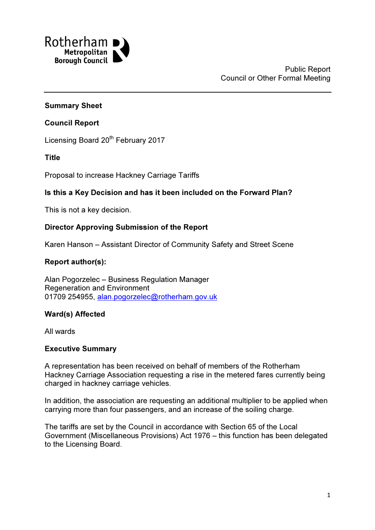

#### Summary Sheet

#### Council Report

Licensing Board 20<sup>th</sup> February 2017

#### Title

Proposal to increase Hackney Carriage Tariffs

### Is this a Key Decision and has it been included on the Forward Plan?

This is not a key decision.

#### Director Approving Submission of the Report

Karen Hanson – Assistant Director of Community Safety and Street Scene

# Report author(s):

Alan Pogorzelec – Business Regulation Manager Regeneration and Environment 01709 254955, alan.pogorzelec@rotherham.gov.uk

### Ward(s) Affected

All wards

#### Executive Summary

A representation has been received on behalf of members of the Rotherham Hackney Carriage Association requesting a rise in the metered fares currently being charged in hackney carriage vehicles.

In addition, the association are requesting an additional multiplier to be applied when carrying more than four passengers, and an increase of the soiling charge.

The tariffs are set by the Council in accordance with Section 65 of the Local Government (Miscellaneous Provisions) Act 1976 – this function has been delegated to the Licensing Board.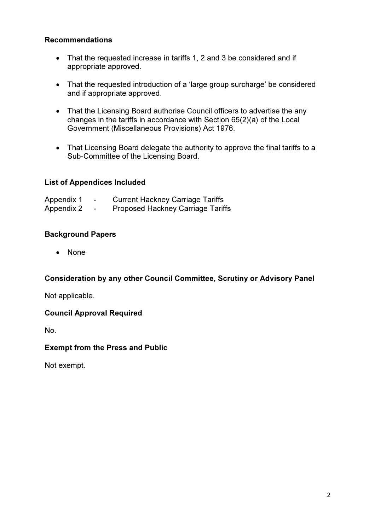#### Recommendations

- That the requested increase in tariffs 1, 2 and 3 be considered and if appropriate approved.
- That the requested introduction of a 'large group surcharge' be considered and if appropriate approved.
- That the Licensing Board authorise Council officers to advertise the any changes in the tariffs in accordance with Section 65(2)(a) of the Local Government (Miscellaneous Provisions) Act 1976.
- That Licensing Board delegate the authority to approve the final tariffs to a Sub-Committee of the Licensing Board.

#### List of Appendices Included

| Appendix 1 | $\,$                     | <b>Current Hackney Carriage Tariffs</b>  |
|------------|--------------------------|------------------------------------------|
| Appendix 2 | $\overline{\phantom{0}}$ | <b>Proposed Hackney Carriage Tariffs</b> |

### Background Papers

• None

### Consideration by any other Council Committee, Scrutiny or Advisory Panel

Not applicable.

#### Council Approval Required

No.

#### Exempt from the Press and Public

Not exempt.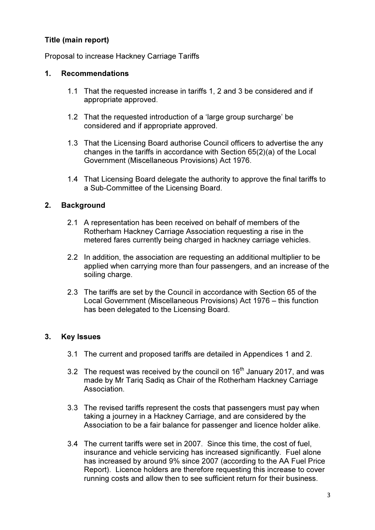# Title (main report)

Proposal to increase Hackney Carriage Tariffs

#### 1. Recommendations

- 1.1 That the requested increase in tariffs 1, 2 and 3 be considered and if appropriate approved.
- 1.2 That the requested introduction of a 'large group surcharge' be considered and if appropriate approved.
- 1.3 That the Licensing Board authorise Council officers to advertise the any changes in the tariffs in accordance with Section 65(2)(a) of the Local Government (Miscellaneous Provisions) Act 1976.
- 1.4 That Licensing Board delegate the authority to approve the final tariffs to a Sub-Committee of the Licensing Board.

### 2. Background

- 2.1 A representation has been received on behalf of members of the Rotherham Hackney Carriage Association requesting a rise in the metered fares currently being charged in hackney carriage vehicles.
- 2.2 In addition, the association are requesting an additional multiplier to be applied when carrying more than four passengers, and an increase of the soiling charge.
- 2.3 The tariffs are set by the Council in accordance with Section 65 of the Local Government (Miscellaneous Provisions) Act 1976 – this function has been delegated to the Licensing Board.

### 3. Key Issues

- 3.1 The current and proposed tariffs are detailed in Appendices 1 and 2.
- 3.2 The request was received by the council on  $16<sup>th</sup>$  January 2017, and was made by Mr Tariq Sadiq as Chair of the Rotherham Hackney Carriage Association.
- 3.3 The revised tariffs represent the costs that passengers must pay when taking a journey in a Hackney Carriage, and are considered by the Association to be a fair balance for passenger and licence holder alike.
- 3.4 The current tariffs were set in 2007. Since this time, the cost of fuel, insurance and vehicle servicing has increased significantly. Fuel alone has increased by around 9% since 2007 (according to the AA Fuel Price Report). Licence holders are therefore requesting this increase to cover running costs and allow then to see sufficient return for their business.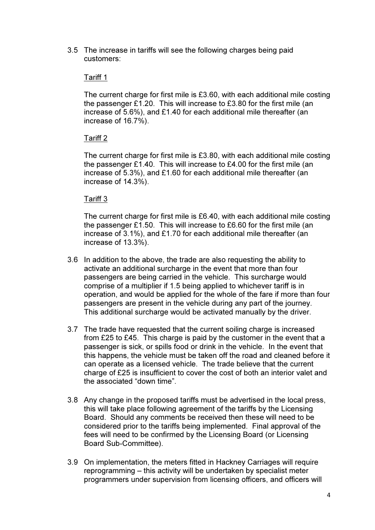3.5 The increase in tariffs will see the following charges being paid customers:

#### Tariff 1

The current charge for first mile is £3.60, with each additional mile costing the passenger £1.20. This will increase to £3.80 for the first mile (an increase of 5.6%), and £1.40 for each additional mile thereafter (an increase of 16.7%).

### Tariff 2

The current charge for first mile is £3.80, with each additional mile costing the passenger £1.40. This will increase to £4.00 for the first mile (an increase of 5.3%), and £1.60 for each additional mile thereafter (an increase of 14.3%).

#### Tariff 3

The current charge for first mile is £6.40, with each additional mile costing the passenger £1.50. This will increase to £6.60 for the first mile (an increase of 3.1%), and £1.70 for each additional mile thereafter (an increase of 13.3%).

- 3.6 In addition to the above, the trade are also requesting the ability to activate an additional surcharge in the event that more than four passengers are being carried in the vehicle. This surcharge would comprise of a multiplier if 1.5 being applied to whichever tariff is in operation, and would be applied for the whole of the fare if more than four passengers are present in the vehicle during any part of the journey. This additional surcharge would be activated manually by the driver.
- 3.7 The trade have requested that the current soiling charge is increased from £25 to £45. This charge is paid by the customer in the event that a passenger is sick, or spills food or drink in the vehicle. In the event that this happens, the vehicle must be taken off the road and cleaned before it can operate as a licensed vehicle. The trade believe that the current charge of £25 is insufficient to cover the cost of both an interior valet and the associated "down time".
- 3.8 Any change in the proposed tariffs must be advertised in the local press, this will take place following agreement of the tariffs by the Licensing Board. Should any comments be received then these will need to be considered prior to the tariffs being implemented. Final approval of the fees will need to be confirmed by the Licensing Board (or Licensing Board Sub-Committee).
- 3.9 On implementation, the meters fitted in Hackney Carriages will require reprogramming – this activity will be undertaken by specialist meter programmers under supervision from licensing officers, and officers will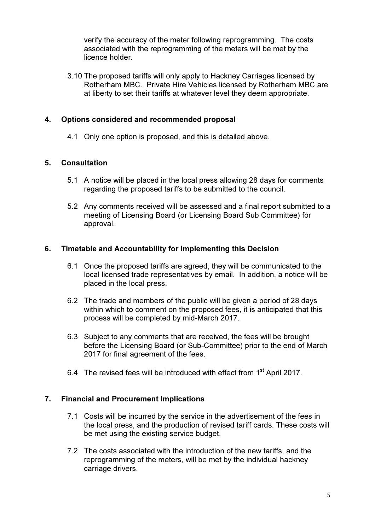verify the accuracy of the meter following reprogramming. The costs associated with the reprogramming of the meters will be met by the licence holder.

3.10 The proposed tariffs will only apply to Hackney Carriages licensed by Rotherham MBC. Private Hire Vehicles licensed by Rotherham MBC are at liberty to set their tariffs at whatever level they deem appropriate.

#### 4. Options considered and recommended proposal

4.1 Only one option is proposed, and this is detailed above.

#### 5. Consultation

- 5.1 A notice will be placed in the local press allowing 28 days for comments regarding the proposed tariffs to be submitted to the council.
- 5.2 Any comments received will be assessed and a final report submitted to a meeting of Licensing Board (or Licensing Board Sub Committee) for approval.

#### 6. Timetable and Accountability for Implementing this Decision

- 6.1 Once the proposed tariffs are agreed, they will be communicated to the local licensed trade representatives by email. In addition, a notice will be placed in the local press.
- 6.2 The trade and members of the public will be given a period of 28 days within which to comment on the proposed fees, it is anticipated that this process will be completed by mid-March 2017.
- 6.3 Subject to any comments that are received, the fees will be brought before the Licensing Board (or Sub-Committee) prior to the end of March 2017 for final agreement of the fees.
- 6.4 The revised fees will be introduced with effect from 1<sup>st</sup> April 2017.

### 7. Financial and Procurement Implications

- 7.1 Costs will be incurred by the service in the advertisement of the fees in the local press, and the production of revised tariff cards. These costs will be met using the existing service budget.
- 7.2 The costs associated with the introduction of the new tariffs, and the reprogramming of the meters, will be met by the individual hackney carriage drivers.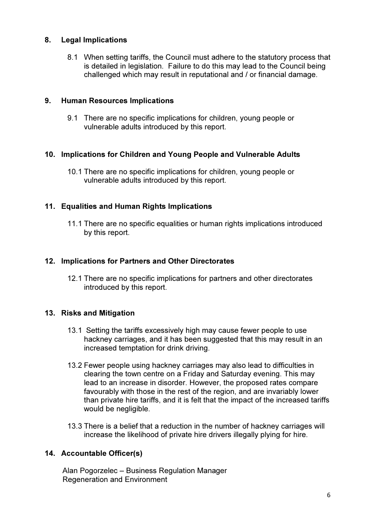### 8. Legal Implications

8.1 When setting tariffs, the Council must adhere to the statutory process that is detailed in legislation. Failure to do this may lead to the Council being challenged which may result in reputational and / or financial damage.

# 9. Human Resources Implications

9.1 There are no specific implications for children, young people or vulnerable adults introduced by this report.

### 10. Implications for Children and Young People and Vulnerable Adults

10.1 There are no specific implications for children, young people or vulnerable adults introduced by this report.

# 11. Equalities and Human Rights Implications

11.1 There are no specific equalities or human rights implications introduced by this report.

# 12. Implications for Partners and Other Directorates

12.1 There are no specific implications for partners and other directorates introduced by this report.

### 13. Risks and Mitigation

- 13.1 Setting the tariffs excessively high may cause fewer people to use hackney carriages, and it has been suggested that this may result in an increased temptation for drink driving.
- 13.2 Fewer people using hackney carriages may also lead to difficulties in clearing the town centre on a Friday and Saturday evening. This may lead to an increase in disorder. However, the proposed rates compare favourably with those in the rest of the region, and are invariably lower than private hire tariffs, and it is felt that the impact of the increased tariffs would be negligible.
- 13.3 There is a belief that a reduction in the number of hackney carriages will increase the likelihood of private hire drivers illegally plying for hire.

# 14. Accountable Officer(s)

 Alan Pogorzelec – Business Regulation Manager Regeneration and Environment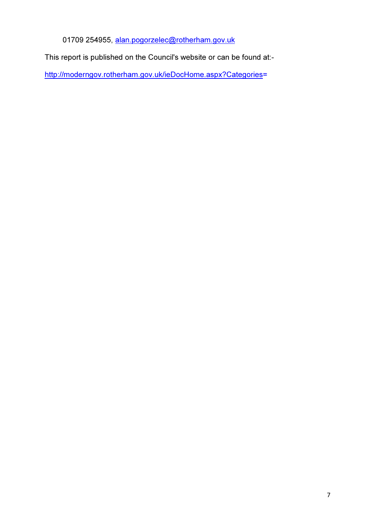01709 254955, alan.pogorzelec@rotherham.gov.uk

This report is published on the Council's website or can be found at:-

http://moderngov.rotherham.gov.uk/ieDocHome.aspx?Categories=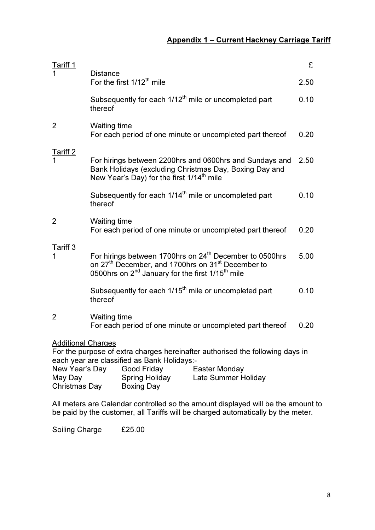| <b>Tariff 1</b>                                                                                                                                           |                                                                                                                                                                                                                              |                                                       |                                                                                                                   | £    |
|-----------------------------------------------------------------------------------------------------------------------------------------------------------|------------------------------------------------------------------------------------------------------------------------------------------------------------------------------------------------------------------------------|-------------------------------------------------------|-------------------------------------------------------------------------------------------------------------------|------|
|                                                                                                                                                           | <b>Distance</b>                                                                                                                                                                                                              | For the first 1/12 <sup>th</sup> mile                 |                                                                                                                   | 2.50 |
|                                                                                                                                                           | thereof                                                                                                                                                                                                                      |                                                       | Subsequently for each 1/12 <sup>th</sup> mile or uncompleted part                                                 | 0.10 |
| 2                                                                                                                                                         | <b>Waiting time</b>                                                                                                                                                                                                          |                                                       | For each period of one minute or uncompleted part thereof                                                         | 0.20 |
| Tariff 2                                                                                                                                                  |                                                                                                                                                                                                                              | New Year's Day) for the first 1/14 <sup>th</sup> mile | For hirings between 2200hrs and 0600hrs and Sundays and<br>Bank Holidays (excluding Christmas Day, Boxing Day and | 2.50 |
|                                                                                                                                                           | thereof                                                                                                                                                                                                                      |                                                       | Subsequently for each 1/14 <sup>th</sup> mile or uncompleted part                                                 | 0.10 |
| 2                                                                                                                                                         | <b>Waiting time</b>                                                                                                                                                                                                          |                                                       | For each period of one minute or uncompleted part thereof                                                         | 0.20 |
| Tariff 3                                                                                                                                                  | For hirings between 1700hrs on 24 <sup>th</sup> December to 0500hrs<br>on 27 <sup>th</sup> December, and 1700hrs on 31 <sup>st</sup> December to<br>0500hrs on 2 <sup>nd</sup> January for the first 1/15 <sup>th</sup> mile |                                                       |                                                                                                                   | 5.00 |
|                                                                                                                                                           | thereof                                                                                                                                                                                                                      |                                                       | Subsequently for each 1/15 <sup>th</sup> mile or uncompleted part                                                 | 0.10 |
| 2                                                                                                                                                         | <b>Waiting time</b><br>For each period of one minute or uncompleted part thereof                                                                                                                                             |                                                       |                                                                                                                   | 0.20 |
| <b>Additional Charges</b><br>For the purpose of extra charges hereinafter authorised the following days in<br>each year are classified as Bank Holidays:- |                                                                                                                                                                                                                              |                                                       |                                                                                                                   |      |
| New Year's Day<br>Good Friday<br>Easter Monday<br>May Day<br>Spring Holiday<br>Late Summer Holiday<br><b>Christmas Day</b><br><b>Boxing Day</b>           |                                                                                                                                                                                                                              |                                                       |                                                                                                                   |      |

All meters are Calendar controlled so the amount displayed will be the amount to be paid by the customer, all Tariffs will be charged automatically by the meter.

Soiling Charge £25.00